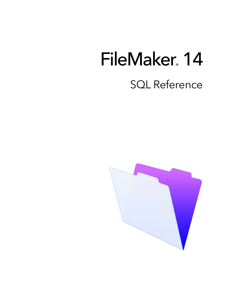# FileMaker 14 SQL Reference

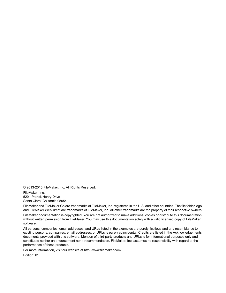© 2013-2015 FileMaker, Inc. All Rights Reserved.

FileMaker, Inc. 5201 Patrick Henry Drive Santa Clara, California 95054

FileMaker and FileMaker Go are trademarks of FileMaker, Inc. registered in the U.S. and other countries. The file folder logo and FileMaker WebDirect are trademarks of FileMaker, Inc. All other trademarks are the property of their respective owners.

FileMaker documentation is copyrighted. You are not authorized to make additional copies or distribute this documentation without written permission from FileMaker. You may use this documentation solely with a valid licensed copy of FileMaker software.

All persons, companies, email addresses, and URLs listed in the examples are purely fictitious and any resemblance to existing persons, companies, email addresses, or URLs is purely coincidental. Credits are listed in the Acknowledgements documents provided with this software. Mention of third-party products and URLs is for informational purposes only and constitutes neither an endorsement nor a recommendation. FileMaker, Inc. assumes no responsibility with regard to the performance of these products.

For more information, visit our website at http://www.filemaker.com.

Edition: 01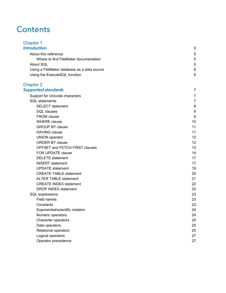# **Contents**

| <b>Chapter 1</b><br><b>Introduction</b>                       |        |
|---------------------------------------------------------------|--------|
|                                                               | 5      |
| About this reference<br>Where to find FileMaker documentation | 5<br>5 |
| About SQL                                                     | 5      |
| Using a FileMaker database as a data source                   | 6      |
| Using the ExecuteSQL function                                 | 6      |
|                                                               |        |
| <b>Chapter 2</b>                                              |        |
| <b>Supported standards</b>                                    | 7      |
| Support for Unicode characters                                | 7      |
| <b>SQL</b> statements                                         | 7      |
| <b>SELECT</b> statement                                       | 8      |
| <b>SQL</b> clauses                                            | 9      |
| <b>FROM</b> clause                                            | 9      |
| <b>WHERE</b> clause                                           | 10     |
| <b>GROUP BY clause</b>                                        | 11     |
| <b>HAVING clause</b>                                          | 11     |
| <b>UNION</b> operator                                         | 12     |
| <b>ORDER BY clause</b>                                        | 12     |
| OFFSET and FETCH FIRST clauses                                | 13     |
| FOR UPDATE clause                                             | 14     |
| <b>DELETE</b> statement                                       | 17     |
| <b>INSERT</b> statement                                       | 17     |
| <b>UPDATE</b> statement                                       | 19     |
| <b>CREATE TABLE statement</b>                                 | 20     |
| <b>ALTER TABLE statement</b>                                  | 21     |
| <b>CREATE INDEX statement</b>                                 | 22     |
| <b>DROP INDEX statement</b>                                   | 22     |
| SQL expressions                                               | 23     |
| Field names                                                   | 23     |
| Constants                                                     | 23     |
| Exponential/scientific notation                               | 24     |
| Numeric operators                                             | 24     |
| Character operators                                           | 25     |
| Date operators                                                | 25     |
| Relational operators                                          | 25     |
| Logical operators                                             | 27     |
| Operator precedence                                           | 27     |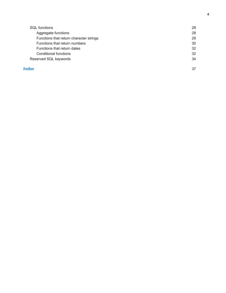| <b>SQL</b> functions                    | 28 |
|-----------------------------------------|----|
| Aggregate functions                     | 28 |
| Functions that return character strings | 29 |
| Functions that return numbers           | 30 |
| Functions that return dates             | 32 |
| Conditional functions                   | 32 |
| Reserved SQL keywords                   | 34 |
|                                         |    |

#### **Index** 37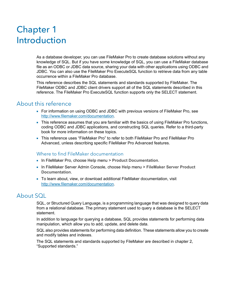# <span id="page-4-0"></span>Chapter 1 Introduction

As a database developer, you can use FileMaker Pro to create database solutions without any knowledge of SQL. But if you have some knowledge of SQL, you can use a FileMaker database file as an ODBC or JDBC data source, sharing your data with other applications using ODBC and JDBC. You can also use the FileMaker Pro ExecuteSQL function to retrieve data from any table occurrence within a FileMaker Pro database.

This reference describes the SQL statements and standards supported by FileMaker. The FileMaker ODBC and JDBC client drivers support all of the SQL statements described in this reference. The FileMaker Pro ExecuteSQL function supports only the SELECT statement.

# <span id="page-4-1"></span>About this reference

- 1 For information on using ODBC and JDBC with previous versions of FileMaker Pro, see <http://www.filemaker.com/documentation>.
- 1 This reference assumes that you are familiar with the basics of using FileMaker Pro functions, coding ODBC and JDBC applications, and constructing SQL queries. Refer to a third-party book for more information on these topics.
- 1 This reference uses "FileMaker Pro" to refer to both FileMaker Pro and FileMaker Pro Advanced, unless describing specific FileMaker Pro Advanced features.

## <span id="page-4-4"></span><span id="page-4-2"></span>Where to find FileMaker documentation

- 1 In FileMaker Pro, choose **Help** menu > **Product Documentation**.
- 1 In FileMaker Server Admin Console, choose **Help** menu > **FileMaker Server Product Documentation**.
- 1 To learn about, view, or download additional FileMaker documentation, visit <http://www.filemaker.com/documentation>.

# <span id="page-4-3"></span>About SQL

SQL, or Structured Query Language, is a programming language that was designed to query data from a relational database. The primary statement used to query a database is the SELECT statement.

In addition to language for querying a database, SQL provides statements for performing data manipulation, which allow you to add, update, and delete data.

SQL also provides statements for performing data definition. These statements allow you to create and modify tables and indexes.

The SQL statements and standards supported by FileMaker are described in [chapter](#page-6-3) 2, ["Supported standards."](#page-6-3)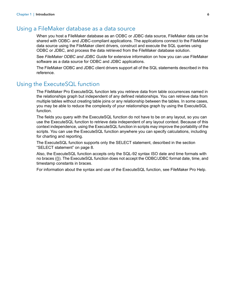# <span id="page-5-0"></span>Using a FileMaker database as a data source

When you host a FileMaker database as an ODBC or JDBC data source, FileMaker data can be shared with ODBC- and JDBC-compliant applications. The applications connect to the FileMaker data source using the FileMaker client drivers, construct and execute the SQL queries using ODBC or JDBC, and process the data retrieved from the FileMaker database solution.

See *FileMaker ODBC and JDBC Guide* for extensive information on how you can use FileMaker software as a data source for ODBC and JDBC applications.

The FileMaker ODBC and JDBC client drivers support all of the SQL statements described in this reference.

# <span id="page-5-1"></span>Using the ExecuteSQL function

<span id="page-5-2"></span>The FileMaker Pro ExecuteSQL function lets you retrieve data from table occurrences named in the relationships graph but independent of any defined relationships. You can retrieve data from multiple tables without creating table joins or any relationship between the tables. In some cases, you may be able to reduce the complexity of your relationships graph by using the ExecuteSQL function.

The fields you query with the ExecuteSQL function do not have to be on any layout, so you can use the ExecuteSQL function to retrieve data independent of any layout context. Because of this context independence, using the ExecuteSQL function in scripts may improve the portability of the scripts. You can use the ExecuteSQL function anywhere you can specify calculations, including for charting and reporting.

The ExecuteSQL function supports only the SELECT statement, described in the section ["SELECT statement" on page](#page-7-1) 8.

Also, the ExecuteSQL function accepts only the SQL-92 syntax ISO date and time formats with no braces ({}). The ExecuteSQL function does not accept the ODBC/JDBC format date, time, and timestamp constants in braces.

For information about the syntax and use of the ExecuteSQL function, see FileMaker Pro Help.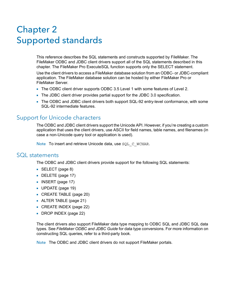# <span id="page-6-3"></span><span id="page-6-0"></span>Chapter 2 Supported standards

<span id="page-6-4"></span>This reference describes the SQL statements and constructs supported by FileMaker. The FileMaker ODBC and JDBC client drivers support all of the SQL statements described in this chapter. The FileMaker Pro ExecuteSQL function supports only the SELECT statement.

Use the client drivers to access a FileMaker database solution from an ODBC- or JDBC-compliant application. The FileMaker database solution can be hosted by either FileMaker Pro or FileMaker Server.

- <span id="page-6-7"></span>■ The ODBC client driver supports ODBC 3.5 Level 1 with some features of Level 2.
- <span id="page-6-8"></span>1 The JDBC client driver provides partial support for the JDBC 3.0 specification.
- The ODBC and JDBC client drivers both support SQL-92 entry-level conformance, with some SQL-92 intermediate features.

# <span id="page-6-1"></span>Support for Unicode characters

<span id="page-6-6"></span>The ODBC and JDBC client drivers support the Unicode API. However, if you're creating a custom application that uses the client drivers, use ASCII for field names, table names, and filenames (in case a non-Unicode query tool or application is used).

<span id="page-6-10"></span>Note To insert and retrieve Unicode data, use SQL C WCHAR.

# <span id="page-6-2"></span>SQL statements

<span id="page-6-9"></span>The ODBC and JDBC client drivers provide support for the following SQL statements:

- SELECT [\(page](#page-7-0) 8)
- DELETE [\(page](#page-16-0) 17)
- **INSERT** ([page](#page-16-1) 17)
- $\blacksquare$  UPDATE [\(page](#page-18-0) 19)
- CREATE TABLE [\(page](#page-19-0) 20)
- **-** ALTER TABLE [\(page](#page-20-0) 21)
- CREATE INDEX [\(page](#page-21-0) 22)
- DROP INDEX [\(page](#page-21-1) 22)

The client drivers also support FileMaker data type mapping to ODBC SQL and JDBC SQL data types. See *FileMaker ODBC and JDBC Guide* for data type conversions. For more information on constructing SQL queries, refer to a third-party book.

<span id="page-6-5"></span>Note The ODBC and JDBC client drivers do not support FileMaker portals.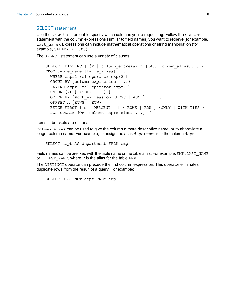#### <span id="page-7-4"></span><span id="page-7-1"></span><span id="page-7-0"></span>SELECT statement

Use the SELECT statement to specify which columns you're requesting. Follow the SELECT statement with the column expressions (similar to field names) you want to retrieve (for example, last name). Expressions can include mathematical operations or string manipulation (for example,  $SALARY * 1.05$ ).

The SELECT statement can use a variety of clauses:

```
SELECT [DISTINCT] \{ * \} column expression [[AS] column alias],...}
FROM table name [table alias], ...
[ WHERE expr1 rel_operator expr2 ]
[ GROUP BY {column_expression, ...} ]
[ HAVING expr1 rel_operator expr2 ]
[ UNION [ALL] (SELECT...) ]
[ ORDER BY \{sort expression [DESC | ASC] \}, ... ]
[ OFFSET n {ROWS | ROW} ]
[ FETCH FIRST [ n [ PERCENT ] ] { ROWS | ROW } {ONLY | WITH TIES } ]
[ FOR UPDATE [OF {column_expression, ...}] ]
```
Items in brackets are optional.

column alias can be used to give the column a more descriptive name, or to abbreviate a longer column name. For example, to assign the alias department to the column dept:

<span id="page-7-5"></span><span id="page-7-3"></span><span id="page-7-2"></span>SELECT dept AS department FROM emp

Field names can be prefixed with the table name or the table alias. For example, EMP. LAST\_NAME or E.LAST\_NAME, where E is the alias for the table EMP.

The DISTINCT operator can precede the first column expression. This operator eliminates duplicate rows from the result of a query. For example:

SELECT DISTINCT dept FROM emp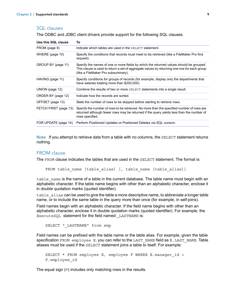#### <span id="page-8-0"></span>SQL clauses

The ODBC and JDBC client drivers provide support for the following SQL clauses.

| Use this SQL clause   | To                                                                                                                                                                                                                           |
|-----------------------|------------------------------------------------------------------------------------------------------------------------------------------------------------------------------------------------------------------------------|
| FROM (page 9)         | Indicate which tables are used in the SELECT statement.                                                                                                                                                                      |
| WHERE (page 10)       | Specify the conditions that records must meet to be retrieved (like a FileMaker Pro find<br>request).                                                                                                                        |
| GROUP BY (page 11)    | Specify the names of one or more fields by which the returned values should be grouped.<br>This clause is used to return a set of aggregate values by returning one row for each group<br>(like a FileMaker Pro subsummary). |
| HAVING (page 11)      | Specify conditions for groups of records (for example, display only the departments that<br>have salaries totaling more than \$200,000).                                                                                     |
| UNION (page 12)       | Combine the results of two or more $SELECT$ statements into a single result.                                                                                                                                                 |
| ORDER BY (page 12)    | Indicate how the records are sorted.                                                                                                                                                                                         |
| OFFSET (page 13)      | State the number of rows to be skipped before starting to retrieve rows.                                                                                                                                                     |
| FETCH FIRST (page 13) | Specify the number of rows to be retrieved. No more than the specified number of rows are<br>returned although fewer rows may be returned if the query yields less than the number of<br>rows specified.                     |
| FOR UPDATE (page 14)  | Perform Positioned Updates or Positioned Deletes via SQL cursors.                                                                                                                                                            |

Note If you attempt to retrieve data from a table with no columns, the SELECT statement returns nothing.

#### <span id="page-8-2"></span><span id="page-8-1"></span>FROM clause

The FROM clause indicates the tables that are used in the SELECT statement. The format is:

```
FROM table name [table alias] [, table name [table alias]]
```
table name is the name of a table in the current database. The table name must begin with an alphabetic character. If the table name begins with other than an alphabetic character, enclose it in double quotation marks (quoted identifier).

<span id="page-8-3"></span>table alias can be used to give the table a more descriptive name, to abbreviate a longer table name, or to include the same table in the query more than once (for example, in self-joins).

Field names begin with an alphabetic character. If the field name begins with other than an alphabetic character, enclose it in double quotation marks (quoted identifier). For example, the ExecuteSQL statement for the field named LASTNAME is:

SELECT " LASTNAME" from emp

Field names can be prefixed with the table name or the table alias. For example, given the table specification FROM employee E, you can refer to the LAST\_NAME field as E.LAST\_NAME. Table aliases must be used if the SELECT statement joins a table to itself. For example:

```
SELECT * FROM employee E, employee F WHERE E.manager id =
F.employee_id
```
The equal sign (=) includes only matching rows in the results.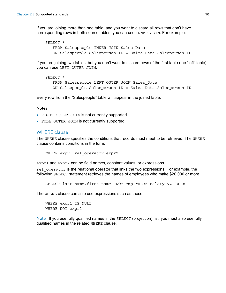If you are joining more than one table, and you want to discard all rows that don't have corresponding rows in both source tables, you can use INNER JOIN. For example:

```
SELECT *
   FROM Salespeople INNER JOIN Sales Data
   ON Salespeople.Salesperson_ID = Sales_Data.Salesperson_ID
```
If you are joining two tables, but you don't want to discard rows of the first table (the "left" table), you can use LEFT OUTER JOIN.

```
SELECT * 
   FROM Salespeople LEFT OUTER JOIN Sales Data
   ON Salespeople.Salesperson ID = Sales Data.Salesperson ID
```
Every row from the "Salespeople" table will appear in the joined table.

#### **Notes**

- <span id="page-9-4"></span><span id="page-9-1"></span>• RIGHT OUTER JOIN is not currently supported.
- 1 FULL OUTER JOIN is not currently supported.

#### <span id="page-9-5"></span><span id="page-9-0"></span>WHERE clause

The WHERE clause specifies the conditions that records must meet to be retrieved. The WHERE clause contains conditions in the form:

WHERE expr1 rel operator expr2

expr1 and expr2 can be field names, constant values, or expressions.

rel operator is the relational operator that links the two expressions. For example, the following SELECT statement retrieves the names of employees who make \$20,000 or more.

```
SELECT last name, first name FROM emp WHERE salary >= 20000
```
The WHERE clause can also use expressions such as these:

```
WHERE expr1 IS NULL
WHERE NOT expr2
```
Note If you use fully qualified names in the SELECT (projection) list, you must also use fully qualified names in the related WHERE clause.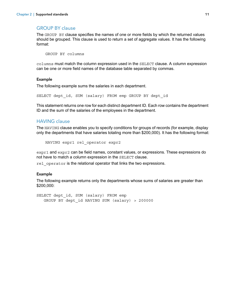#### <span id="page-10-2"></span><span id="page-10-0"></span>GROUP BY clause

The GROUP BY clause specifies the names of one or more fields by which the returned values should be grouped. This clause is used to return a set of aggregate values. It has the following format:

GROUP BY columns

columns must match the column expression used in the SELECT clause. A column expression can be one or more field names of the database table separated by commas.

#### Example

The following example sums the salaries in each department.

SELECT dept id, SUM (salary) FROM emp GROUP BY dept id

This statement returns one row for each distinct department ID. Each row contains the department ID and the sum of the salaries of the employees in the department.

#### <span id="page-10-3"></span><span id="page-10-1"></span>HAVING clause

The HAVING clause enables you to specify conditions for groups of records (for example, display only the departments that have salaries totaling more than \$200,000). It has the following format:

```
HAVING expr1 rel operator expr2
```
expr1 and expr2 can be field names, constant values, or expressions. These expressions do not have to match a column expression in the SELECT clause.

rel operator is the relational operator that links the two expressions.

#### Example

The following example returns only the departments whose sums of salaries are greater than \$200,000:

SELECT dept id, SUM (salary) FROM emp GROUP BY dept\_id HAVING SUM (salary) > 200000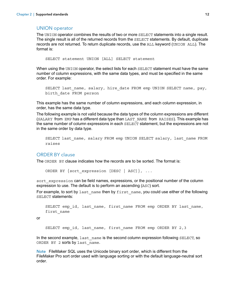#### <span id="page-11-4"></span><span id="page-11-0"></span>UNION operator

The UNION operator combines the results of two or more SELECT statements into a single result. The single result is all of the returned records from the SELECT statements. By default, duplicate records are not returned. To return duplicate records, use the ALL keyword (UNION ALL). The format is:

SELECT statement UNION [ALL] SELECT statement

When using the UNION operator, the select lists for each SELECT statement must have the same number of column expressions, with the same data types, and must be specified in the same order. For example:

```
SELECT last name, salary, hire date FROM emp UNION SELECT name, pay,
birth_date FROM person
```
This example has the same number of column expressions, and each column expression, in order, has the same data type.

The following example is not valid because the data types of the column expressions are different (SALARY from EMP has a different data type than LAST\_NAME from RAISES). This example has the same number of column expressions in each SELECT statement, but the expressions are not in the same order by data type.

```
SELECT last name, salary FROM emp UNION SELECT salary, last name FROM
raises
```
#### <span id="page-11-2"></span><span id="page-11-1"></span>ORDER BY clause

The ORDER BY clause indicates how the records are to be sorted. The format is:

ORDER BY {sort expression [DESC | ASC] }, ...

sort expression can be field names, expressions, or the positional number of the column expression to use. The default is to perform an ascending (ASC) sort.

For example, to sort by last name then by first name, you could use either of the following SELECT statements:

```
SELECT emp_id, last_name, first_name FROM emp ORDER BY last_name,
first_name
```
or

<span id="page-11-3"></span>SELECT emp\_id, last\_name, first\_name FROM emp ORDER BY 2,3

In the second example, last name is the second column expression following SELECT, so ORDER BY 2 sorts by last name.

Note FileMaker SQL uses the Unicode binary sort order, which is different from the FileMaker Pro sort order used with language sorting or with the default language-neutral sort order.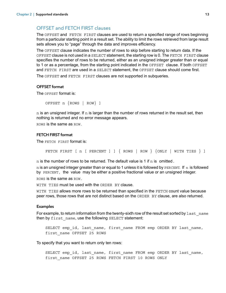# <span id="page-12-0"></span>OFFSET and FETCH FIRST clauses

The OFFSET and FETCH FIRST clauses are used to return a specified range of rows beginning from a particular starting point in a result set. The ability to limit the rows retrieved from large result sets allows you to "page" through the data and improves efficiency.

The OFFSET clause indicates the number of rows to skip before starting to return data. If the OFFSET clause is not used in a SELECT statement, the starting row is 0. The FETCH FIRST clause specifies the number of rows to be returned, either as an unsigned integer greater than or equal to 1 or as a percentage, from the starting point indicated in the OFFSET clause. If both OFFSET and FETCH FIRST are used in a SELECT statement, the OFFSET clause should come first.

The OFFSET and FETCH FIRST clauses are not supported in subqueries.

#### <span id="page-12-2"></span>OFFSET format

The OFFSET format is:

OFFSET n {ROWS | ROW} ]

 $n$  is an unsigned integer. If  $n$  is larger than the number of rows returned in the result set, then nothing is returned and no error message appears.

ROWS is the same as ROW.

#### <span id="page-12-1"></span>FETCH FIRST format

The FETCH FIRST format is:

FETCH FIRST [ n [ PERCENT ] ] { ROWS | ROW } {ONLY | WITH TIES } ]

 $n$  is the number of rows to be returned. The default value is 1 if  $n$  is omitted.

 $n$  is an unsigned integer greater than or equal to 1 unless it is followed by PERCENT. If n is followed by PERCENT, the value may be either a positive fractional value or an unsigned integer. ROWS is the same as ROW.

<span id="page-12-4"></span>WITH TIES must be used with the ORDER BY clause.

<span id="page-12-3"></span>WITH TIES allows more rows to be returned than specified in the FETCH count value because peer rows, those rows that are not distinct based on the ORDER BY clause, are also returned.

#### Examples

For example, to return information from the twenty-sixth row of the result set sorted by last name then by first name, use the following SELECT statement:

SELECT emp\_id, last\_name, first\_name FROM emp ORDER BY last\_name, first\_name OFFSET 25 ROWS

To specify that you want to return only ten rows:

SELECT emp\_id, last\_name, first\_name FROM emp ORDER BY last\_name, first name OFFSET 25 ROWS FETCH FIRST 10 ROWS ONLY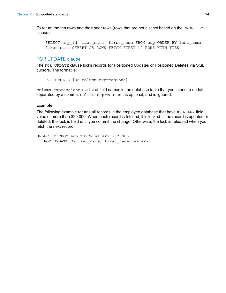To return the ten rows and their peer rows (rows that are not distinct based on the ORDER BY clause):

<span id="page-13-3"></span>SELECT emp\_id, last\_name, first\_name FROM emp ORDER BY last\_name, first\_name OFFSET 25 ROWS FETCH FIRST 10 ROWS WITH TIES

#### <span id="page-13-2"></span><span id="page-13-0"></span>FOR UPDATE clause

<span id="page-13-1"></span>The FOR UPDATE clause locks records for Positioned Updates or Positioned Deletes via SQL cursors. The format is:

```
FOR UPDATE [OF column expressions]
```
column\_expressions is a list of field names in the database table that you intend to update, separated by a comma. column expressions is optional, and is ignored.

#### Example

The following example returns all records in the employee database that have a SALARY field value of more than \$20,000. When each record is fetched, it is locked. If the record is updated or deleted, the lock is held until you commit the change. Otherwise, the lock is released when you fetch the next record.

SELECT \* FROM emp WHERE salary > 20000 FOR UPDATE OF last name, first name, salary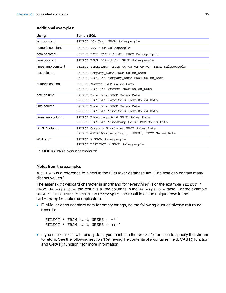| <b>Using</b>             | Sample SQL                                                                                      |
|--------------------------|-------------------------------------------------------------------------------------------------|
| text constant            | SELECT 'CatDog' FROM Salespeople                                                                |
| numeric constant         | SELECT 999 FROM Salespeople                                                                     |
| date constant            | SELECT DATE '2015-06-05' FROM Salespeople                                                       |
| time constant            | SELECT TIME '02:49:03' FROM Salespeople                                                         |
| timestamp constant       | SELECT TIMESTAMP '2015-06-05 02:49:03' FROM Salespeople                                         |
| text column              | SELECT Company Name FROM Sales Data<br>SELECT DISTINCT Company Name FROM Sales Data             |
| numeric column           | SELECT Amount FROM Sales Data<br>SELECT DISTINCT Amount FROM Sales Data                         |
| date column              | SELECT Date Sold FROM Sales Data<br>SELECT DISTINCT Date Sold FROM Sales Data                   |
| time column              | SELECT Time Sold FROM Sales Data<br>SELECT DISTINCT Time Sold FROM Sales Data                   |
| timestamp column         | SELECT Timestamp Sold FROM Sales Data<br>SELECT DISTINCT Timestamp Sold FROM Sales Data         |
| BLOB <sup>a</sup> column | SELECT Company Brochures FROM Sales Data<br>SELECT GETAS (Company_Logo, 'JPEG') FROM Sales_Data |
| Wildcard *               | SELECT * FROM Salespeople<br>SELECT DISTINCT * FROM Salespeople                                 |

#### Additional examples:

<span id="page-14-1"></span>a. A BLOB is a FileMaker database file container field.

#### Notes from the examples

A column is a reference to a field in the FileMaker database file. (The field can contain many distinct values.)

The asterisk (\*) wildcard character is shorthand for "everything". For the example SELECT  $*$ FROM Salespeople, the result is all the columns in the Salespeople table. For the example SELECT DISTINCT \* FROM Salespeople, the result is all the unique rows in the Salespeople table (no duplicates).

• FileMaker does not store data for empty strings, so the following queries always return no records:

```
SELECT * FROM test WHERE c =''
SELECT * FROM test WHERE c <>''
```
If you use SELECT with binary data, you must use the  $GetAs$  () function to specify the stream to return. See the following section ["Retrieving the contents of a container field: CAST\(\) function](#page-15-0)  [and GetAs\(\) function,"](#page-15-0) for more information.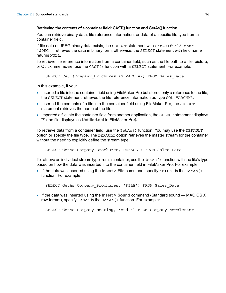#### <span id="page-15-3"></span><span id="page-15-0"></span>Retrieving the contents of a container field: CAST() function and GetAs() function

You can retrieve binary data, file reference information, or data of a specific file type from a container field.

If file data or JPEG binary data exists, the SELECT statement with GetAS(field name, 'JPEG') retrieves the data in binary form; otherwise, the SELECT statement with field name returns NULL.

To retrieve file reference information from a container field, such as the file path to a file, picture, or QuickTime movie, use the CAST() function with a SELECT statement. For example:

```
SELECT CAST(Company Brochures AS VARCHAR) FROM Sales Data
```
In this example, if you:

- **Inserted a file into the container field using FileMaker Pro but stored only a reference to the file,** the SELECT statement retrieves the file reference information as type SQL VARCHAR.
- **Inserted the contents of a file into the container field using FileMaker Pro, the SELECT** statement retrieves the name of the file.
- 1 Imported a file into the container field from another application, the SELECT statement displays '?' (the file displays as **Untitled.dat** in FileMaker Pro).

<span id="page-15-2"></span>To retrieve data from a container field, use the GetAs() function. You may use the DEFAULT option or specify the file type. The DEFAULT option retrieves the master stream for the container without the need to explicitly define the stream type:

```
SELECT GetAs (Company Brochures, DEFAULT) FROM Sales Data
```
To retrieve an individual stream type from a container, use the  $Geta(s)$  function with the file's type based on how the data was inserted into the container field in FileMaker Pro. For example:

1 If the data was inserted using the **Insert** > **File** command, specify 'FILE' in the GetAs() function. For example:

```
SELECT GetAs(Company Brochures, 'FILE') FROM Sales Data
```
1 If the data was inserted using the **Insert** > **Sound** command (Standard sound — MAC OS X raw format), specify 'snd' in the GetAs() function. For example:

SELECT GetAs (Company Meeting, 'snd ') FROM Company Newsletter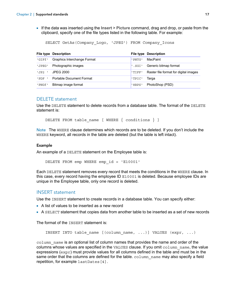1 If the data was inserted using the **Insert** > **Picture** command, drag and drop, or paste from the clipboard, specify one of the file types listed in the following table. For example:

SELECT GetAs(Company\_Logo, 'JPEG') FROM Company\_Icons

|         | <b>File type Description</b> |         | <b>File type Description</b>          |
|---------|------------------------------|---------|---------------------------------------|
| 'GIFf'  | Graphics Interchange Format  | ' PNTG' | MacPaint                              |
| 'JPEG'  | Photographic images          | .SGI'   | Generic bitmap format                 |
| 'JP2    | <b>JPEG 2000</b>             | 'TIFF'  | Raster file format for digital images |
| ' PDF   | Portable Document Format     | 'TPIC'  | Tarqa                                 |
| ' PNGf' | Bitmap image format          | '8BPS'  | PhotoShop (PSD)                       |

#### <span id="page-16-0"></span>DELETE statement

<span id="page-16-2"></span>Use the DELETE statement to delete records from a database table. The format of the DELETE statement is:

DELETE FROM table name [ WHERE  $\{$  conditions  $\}$  ]

Note The WHERE clause determines which records are to be deleted. If you don't include the WHERE keyword, all records in the table are deleted (but the table is left intact).

#### Example

An example of a DELETE statement on the Employee table is:

DELETE FROM emp WHERE emp\_id = 'E10001'

Each DELETE statement removes every record that meets the conditions in the WHERE clause. In this case, every record having the employee ID E10001 is deleted. Because employee IDs are unique in the Employee table, only one record is deleted.

#### <span id="page-16-4"></span><span id="page-16-1"></span>INSERT statement

Use the INSERT statement to create records in a database table. You can specify either:

- A list of values to be inserted as a new record
- 1 A SELECT statement that copies data from another table to be inserted as a set of new records

The format of the **INSERT** statement is:

```
INSERT INTO table name [(\text{column name}, \ldots)] VALUES (\text{expr}, \ldots)]
```
<span id="page-16-3"></span>column name is an optional list of column names that provides the name and order of the columns whose values are specified in the VALUES clause. If you omit column\_name, the value expressions ( $\exp r$ ) must provide values for all columns defined in the table and must be in the same order that the columns are defined for the table.  $\text{column name}$  mame may also specify a field repetition, for example lastDates[4].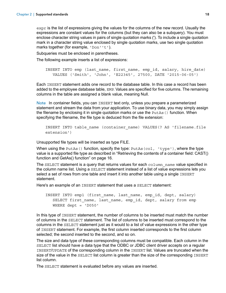expr is the list of expressions giving the values for the columns of the new record. Usually the expressions are constant values for the columns (but they can also be a subquery). You must enclose character string values in pairs of single quotation marks ('). To include a single quotation mark in a character string value enclosed by single quotation marks, use two single quotation marks together (for example, 'Don''t').

<span id="page-17-3"></span>Subqueries must be enclosed in parentheses.

The following example inserts a list of expressions:

```
INSERT INTO emp (last name, first name, emp id, salary, hire date)
  VALUES ('Smith', 'John', 'E22345', 27500, DATE '2015-06-05')
```
Each INSERT statement adds one record to the database table. In this case a record has been added to the employee database table, EMP. Values are specified for five columns. The remaining columns in the table are assigned a blank value, meaning Null.

Note In container fields, you can INSERT text only, unless you prepare a parameterized statement and stream the data from your application. To use binary data, you may simply assign the filename by enclosing it in single quotation marks or use the  $Put$ As() function. When specifying the filename, the file type is deduced from the file extension:

```
INSERT INTO table name (container name) VALUES(? AS 'filename.file
extension')
```
Unsupported file types will be inserted as type FILE.

When using the PutAs() function, specify the type:  $Put\text{As}(col, 'type'))$ , where the type value is a supported file type as described in ["Retrieving the contents of a container field: CAST\(\)](#page-15-0)  [function and GetAs\(\) function" on page](#page-15-0) 16.

The SELECT statement is a query that returns values for each column name value specified in the column name list. Using a SELECT statement instead of a list of value expressions lets you select a set of rows from one table and insert it into another table using a single INSERT statement.

Here's an example of an INSERT statement that uses a SELECT statement:

```
INSERT INTO emp1 (first name, last name, emp id, dept, salary)
   SELECT first name, last name, emp id, dept, salary from emp
   WHERE dept = 'D050'
```
In this type of INSERT statement, the number of columns to be inserted must match the number of columns in the SELECT statement. The list of columns to be inserted must correspond to the columns in the SELECT statement just as it would to a list of value expressions in the other type of INSERT statement. For example, the first column inserted corresponds to the first column selected; the second inserted to the second, and so on.

The size and data type of these corresponding columns must be compatible. Each column in the SELECT list should have a data type that the ODBC or JDBC client driver accepts on a regular INSERT/UPDATE of the corresponding column in the INSERT list. Values are truncated when the size of the value in the SELECT list column is greater than the size of the corresponding INSERT list column.

The SELECT statement is evaluated before any values are inserted.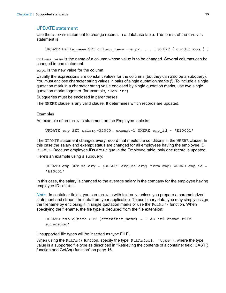## <span id="page-18-3"></span><span id="page-18-0"></span>UPDATE statement

Use the UPDATE statement to change records in a database table. The format of the UPDATE statement is:

```
UPDATE table name SET column name = expr, \ldots [ WHERE \{ conditions \} ]
```
column name is the name of a column whose value is to be changed. Several columns can be changed in one statement.

expr is the new value for the column.

Usually the expressions are constant values for the columns (but they can also be a subquery). You must enclose character string values in pairs of single quotation marks ('). To include a single quotation mark in a character string value enclosed by single quotation marks, use two single quotation marks together (for example, 'Don''t').

Subqueries must be enclosed in parentheses.

The WHERE clause is any valid clause. It determines which records are updated.

#### Examples

An example of an UPDATE statement on the Employee table is:

UPDATE emp SET salary=32000, exempt=1 WHERE emp\_id = 'E10001'

The UPDATE statement changes every record that meets the conditions in the WHERE clause. In this case the salary and exempt status are changed for all employees having the employee ID E10001. Because employee IDs are unique in the Employee table, only one record is updated. Here's an example using a subquery:

```
UPDATE emp SET salary = (SELECT avg (salary) from emp) WHERE emp id ='E10001'
```
In this case, the salary is changed to the average salary in the company for the employee having employee ID E10001.

Note In container fields, you can UPDATE with text only, unless you prepare a parameterized statement and stream the data from your application. To use binary data, you may simply assign the filename by enclosing it in single quotation marks or use the  $Put$ As() function. When specifying the filename, the file type is deduced from the file extension:

```
UPDATE table name SET (container name) = ? AS 'filename.file
extension'
```
Unsupported file types will be inserted as type FILE.

When using the PutAs() function, specify the type:  $PutAs(col, 'type'), where the type$ value is a supported file type as described in ["Retrieving the contents of a container field: CAST\(\)](#page-15-0)  [function and GetAs\(\) function" on page](#page-15-0) 16.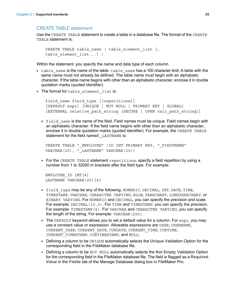## <span id="page-19-1"></span><span id="page-19-0"></span>CREATE TABLE statement

Use the CREATE TABLE statement to create a table in a database file. The format of the CREATE TABLE statement is:

```
CREATE TABLE table name ( table element list [,
table element list...] )
```
Within the statement, you specify the name and data type of each column.

- $\bullet$  table name is the name of the table. table name has a 100 character limit. A table with the same name must not already be defined. The table name must begin with an alphabetic character. If the table name begins with other than an alphabetic character, enclose it in double quotation marks (quoted identifier).
- **The format for table element list is:**

```
field name field type [[repetitions]]
[DEFAULT expr] [UNIQUE | NOT NULL | PRIMARY KEY | GLOBAL] 
[EXTERNAL relative path string [SECURE | OPEN calc path string]]
```
**EXTERNAME:** field name is the name of the field. Field names must be unique. Field names begin with an alphabetic character. If the field name begins with other than an alphabetic character, enclose it in double quotation marks (quoted identifier). For example, the CREATE TABLE statement for the field named LASTNAME is:

```
CREATE TABLE " EMPLOYEE" (ID INT PRIMARY KEY, " FIRSTNAME"
VARCHAR(20), "LASTNAME" VARCHAR(20))
```
 $\blacksquare$  For the CREATE TABLE statement repetitions, specify a field repetition by using a number from 1 to 32000 in brackets after the field type. For example:

```
EMPLOYEE_ID INT[4]
LASTNAME VARCHAR(20)[4]
```
- I field type may be any of the following: NUMERIC, DECIMAL, INT, DATE, TIME, TIMESTAMP, VARCHAR, CHARACTER VARYING, BLOB, VARBINARY, LONGVARBINARY, or BINARY VARYING. For NUMERIC and DECIMAL, you can specify the precision and scale. For example: DECIMAL(10,0). For TIME and TIMESTAMP, you can specify the precision. For example: TIMESTAMP(6). For VARCHAR and CHARACTER VARYING, you can specify the length of the string. For example: VARCHAR(255).
- <span id="page-19-2"></span>**The DEFAULT keyword allows you to set a default value for a column. For expr, you may** use a constant value or expression. Allowable expressions are USER, USERNAME, CURRENT\_USER, CURRENT\_DATE, CURDATE, CURRENT\_TIME, CURTIME, CURRENT\_TIMESTAMP, CURTIMESTAMP, and NULL.
- <span id="page-19-5"></span>1 Defining a column to be UNIQUE automatically selects the **Unique** Validation Option for the corresponding field in the FileMaker database file.
- <span id="page-19-4"></span>1 Defining a column to be NOT NULL automatically selects the **Not Empty** Validation Option for the corresponding field in the FileMaker database file. The field is flagged as a **Required Value** in the **Fields** tab of the Manage Database dialog box in FileMaker Pro.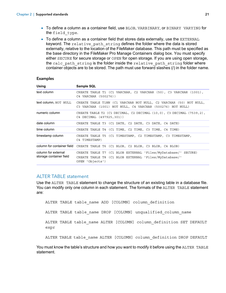- <span id="page-20-3"></span>• To define a column as a container field, use BLOB, VARBINARY, or BINARY VARYING for the field type.
- <span id="page-20-2"></span>• To define a column as a container field that stores data externally, use the EXTERNAL keyword. The relative path string defines the folder where the data is stored externally, relative to the location of the FileMaker database. This path must be specified as the base directory in the FileMaker Pro Manage Containers dialog box. You must specify either SECURE for secure storage or OPEN for open storage. If you are using open storage, the calc path string is the folder inside the relative path string folder where container objects are to be stored. The path must use forward slashes (/) in the folder name.

#### **Examples**

| Using                                          | Sample SQL                                                                                                                                |
|------------------------------------------------|-------------------------------------------------------------------------------------------------------------------------------------------|
| text column                                    | CREATE TABLE T1 (C1 VARCHAR, C2 VARCHAR (50), C3 VARCHAR (1001),<br>C4 VARCHAR (500276))                                                  |
| text column, NOT NULL                          | CREATE TABLE T1NN (C1 VARCHAR NOT NULL, C2 VARCHAR (50) NOT NULL,<br>C3 VARCHAR (1001) NOT NULL, C4 VARCHAR (500276) NOT NULL)            |
| numeric column                                 | CREATE TABLE T2 (C1 DECIMAL, C2 DECIMAL (10,0), C3 DECIMAL (7539,2),<br>C4 DECIMAL (497925,301))                                          |
| date column                                    | CREATE TABLE T3 (C1 DATE, C2 DATE, C3 DATE, C4 DATE)                                                                                      |
| time column                                    | CREATE TABLE T4 (C1 TIME, C2 TIME, C3 TIME, C4 TIME)                                                                                      |
| timestamp column                               | CREATE TABLE T5 (C1 TIMESTAMP, C2 TIMESTAMP, C3 TIMESTAMP,<br>C4 TIMESTAMP)                                                               |
|                                                | column for container field CREATE TABLE T6 (C1 BLOB, C2 BLOB, C3 BLOB, C4 BLOB)                                                           |
| column for external<br>storage container field | CREATE TABLE T7 (C1 BLOB EXTERNAL 'Files/MyDatabase/' SECURE)<br>CREATE TABLE T8 (C1 BLOB EXTERNAL 'Files/MyDatabase/'<br>OPEN 'Objects') |

#### <span id="page-20-1"></span><span id="page-20-0"></span>ALTER TABLE statement

Use the ALTER TABLE statement to change the structure of an existing table in a database file. You can modify only one column in each statement. The formats of the ALTER TABLE statement are:

ALTER TABLE table name ADD [COLUMN] column definition ALTER TABLE table name DROP [COLUMN] unqualified column name ALTER TABLE table name ALTER [COLUMN] column definition SET DEFAULT expr ALTER TABLE table name ALTER [COLUMN] column definition DROP DEFAULT

You must know the table's structure and how you want to modify it before using the ALTER TABLE statement.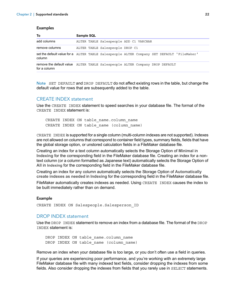#### Examples

| To             | Sample SQL                                                                                |
|----------------|-------------------------------------------------------------------------------------------|
| add columns    | ALTER TABLE Salespeople ADD C1 VARCHAR                                                    |
| remove columns | ALTER TABLE Salespeople DROP C1                                                           |
| column         | set the default value for a ALTER TABLE Salespeople ALTER Company SET DEFAULT 'FileMaker' |
| for a column   | remove the default value ALTER TABLE Salespeople ALTER Company DROP DEFAULT               |

Note SET DEFAULT and DROP DEFAULT do not affect existing rows in the table, but change the default value for rows that are subsequently added to the table.

#### <span id="page-21-2"></span><span id="page-21-0"></span>CREATE INDEX statement

Use the CREATE INDEX statement to speed searches in your database file. The format of the CREATE INDEX statement is:

CREATE INDEX ON table\_name.column\_name CREATE INDEX ON table name (column name)

CREATE INDEX is supported for a single column (multi-column indexes are not supported). Indexes are not allowed on columns that correspond to container field types, summary fields, fields that have the global storage option, or unstored calculation fields in a FileMaker database file.

Creating an index for a text column automatically selects the Storage Option of **Minimal** in **Indexing** for the corresponding field in the FileMaker database file. Creating an index for a nontext column (or a column formatted as Japanese text) automatically selects the Storage Option of **All** in **Indexing** for the corresponding field in the FileMaker database file.

Creating an index for any column automatically selects the Storage Option of **Automatically create indexes as needed** in **Indexing** for the corresponding field in the FileMaker database file.

FileMaker automatically creates indexes as needed. Using CREATE INDEX causes the index to be built immediately rather than on demand.

#### Example

CREATE INDEX ON Salespeople.Salesperson\_ID

#### <span id="page-21-3"></span><span id="page-21-1"></span>DROP INDEX statement

Use the DROP INDEX statement to remove an index from a database file. The format of the DROP INDEX statement is:

DROP INDEX ON table name.column name DROP INDEX ON table name (column name)

Remove an index when your database file is too large, or you don't often use a field in queries.

If your queries are experiencing poor performance, and you're working with an extremely large FileMaker database file with many indexed text fields, consider dropping the indexes from some fields. Also consider dropping the indexes from fields that you rarely use in SELECT statements.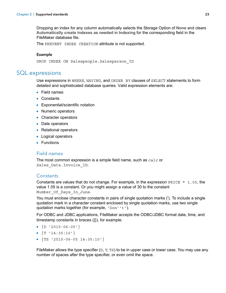Dropping an index for any column automatically selects the Storage Option of **None** and clears **Automatically create indexes as needed** in **Indexing** for the corresponding field in the FileMaker database file.

<span id="page-22-7"></span>The PREVENT INDEX CREATION attribute is not supported.

#### Example

DROP INDEX ON Salespeople.Salesperson\_ID

# <span id="page-22-0"></span>SQL expressions

<span id="page-22-5"></span>Use expressions in WHERE, HAVING, and ORDER BY clauses of SELECT statements to form detailed and sophisticated database queries. Valid expression elements are:

- Field names
- **Constants**
- **Exponential/scientific notation**
- Numeric operators
- Character operators
- Date operators
- Relational operators
- **Logical operators**
- **Functions**

#### <span id="page-22-6"></span><span id="page-22-1"></span>Field names

The most common expression is a simple field name, such as calc or Sales Data. Invoice ID.

#### <span id="page-22-3"></span><span id="page-22-2"></span>**Constants**

Constants are values that do not change. For example, in the expression  $\text{PRICE} \star 1.05$ , the value 1.05 is a constant. Or you might assign a value of 30 to the constant Number Of Days In June.

You must enclose character constants in pairs of single quotation marks ('). To include a single quotation mark in a character constant enclosed by single quotation marks, use two single quotation marks together (for example, 'Don''t').

<span id="page-22-4"></span>For ODBC and JDBC applications, FileMaker accepts the ODBC/JDBC format date, time, and timestamp constants in braces ({}), for example:

- $\bullet$  {D '2015-06-05'}
- $\sqrt{T}$  '14:35:10'}
- $\bullet$  {TS '2015-06-05 14:35:10'}

FileMaker allows the type specifier  $(D, T, TS)$  to be in upper case or lower case. You may use any number of spaces after the type specifier, or even omit the space.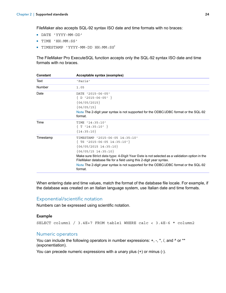FileMaker also accepts SQL-92 syntax ISO date and time formats with no braces:

- 1 DATE 'YYYY-MM-DD'
- **TIME 'HH:MM:SS'**
- 1 TIMESTAMP 'YYYY-MM-DD HH:MM:SS'

The FileMaker Pro ExecuteSQL function accepts only the SQL-92 syntax ISO date and time formats with no braces.

| Constant  | Acceptable syntax (examples)                                                                                                                                                                                                                                                                                                                                                                        |
|-----------|-----------------------------------------------------------------------------------------------------------------------------------------------------------------------------------------------------------------------------------------------------------------------------------------------------------------------------------------------------------------------------------------------------|
| Text      | 'Paris'                                                                                                                                                                                                                                                                                                                                                                                             |
| Number    | 1.05                                                                                                                                                                                                                                                                                                                                                                                                |
| Date      | DATE '2015-06-05'<br>$\{ D'2015-06-05 \}$<br>${06/05/2015}$<br>$\{06/05/15\}$<br>Note The 2-digit year syntax is not supported for the ODBC/JDBC format or the SQL-92<br>format.                                                                                                                                                                                                                    |
| Time      | TIME '14:35:10'<br>${T'14:35:10'}$<br>${14:35:10}$                                                                                                                                                                                                                                                                                                                                                  |
| Timestamp | TIMESTAMP '2015-06-05 14:35:10'<br>$\{ TS$ '2015-06-05 14:35:10' }<br>${06/05/2015 \t14:35:10}$<br>${06/05/15 \ 14:35:10}$<br>Make sure Strict data type: 4-Digit Year Date is not selected as a validation option in the<br>FileMaker database file for a field using this 2-digit year syntax.<br>Note The 2-digit year syntax is not supported for the ODBC/JDBC format or the SQL-92<br>format. |

When entering date and time values, match the format of the database file locale. For example, if the database was created on an Italian language system, use Italian date and time formats.

#### <span id="page-23-2"></span><span id="page-23-0"></span>Exponential/scientific notation

Numbers can be expressed using scientific notation.

#### Example

SELECT column1 / 3.4E+7 FROM table1 WHERE calc < 3.4E-6 \* column2

#### <span id="page-23-3"></span><span id="page-23-1"></span>Numeric operators

You can include the following operators in number expressions:  $+, -, *, /$ , and  $\land$  or  $**$ (exponentiation).

You can precede numeric expressions with a unary plus (+) or minus (-).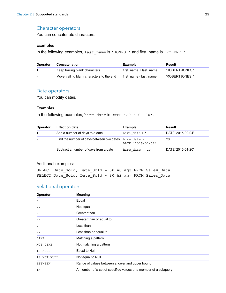#### <span id="page-24-5"></span><span id="page-24-0"></span>Character operators

You can concatenate characters.

#### Examples

In the following examples, last name is 'JONES ' and first\_name is 'ROBERT ':

<span id="page-24-4"></span>

| <b>Operator</b> | Concatenation                             | <b>Example</b>         | Result         |
|-----------------|-------------------------------------------|------------------------|----------------|
| $+$             | Keep trailing blank characters            | first name + last name | 'ROBERT JONES' |
|                 | Move trailing blank characters to the end | first name - last name | 'ROBERTJONES   |

#### <span id="page-24-6"></span><span id="page-24-1"></span>Date operators

You can modify dates.

#### Examples

In the following examples, hire date is DATE '2015-01-30'.

| <b>Operator</b>          | <b>Effect on date</b>                                 | <b>Example</b>    | Result            |
|--------------------------|-------------------------------------------------------|-------------------|-------------------|
| $+$                      | Add a number of days to a date                        | hire date $+5$    | DATE '2015-02-04' |
| $\overline{\phantom{a}}$ | Find the number of days between two dates hire date - | DATE '2015-01-01' | 29                |
|                          | Subtract a number of days from a date                 | hire date - 10    | DATE '2015-01-20' |

#### Additional examples:

SELECT Date\_Sold, Date\_Sold + 30 AS agg FROM Sales\_Data SELECT Date Sold, Date Sold - 30 AS agg FROM Sales Data

#### <span id="page-24-12"></span><span id="page-24-2"></span>Relational operators

<span id="page-24-11"></span><span id="page-24-10"></span><span id="page-24-9"></span><span id="page-24-8"></span><span id="page-24-7"></span><span id="page-24-3"></span>

| Operator          | <b>Meaning</b>                                                  |
|-------------------|-----------------------------------------------------------------|
| $\qquad \qquad =$ | Equal                                                           |
| $\leq$            | Not equal                                                       |
| $\geq$            | Greater than                                                    |
| $>=$              | Greater than or equal to                                        |
| $\lt$             | Less than                                                       |
| $\lt$ =           | Less than or equal to                                           |
| LIKE              | Matching a pattern                                              |
| NOT LIKE          | Not matching a pattern                                          |
| IS NULL           | Equal to Null                                                   |
| IS NOT NULL       | Not equal to Null                                               |
| <b>BETWEEN</b>    | Range of values between a lower and upper bound                 |
| ΙN                | A member of a set of specified values or a member of a subquery |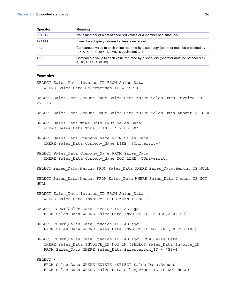<span id="page-25-3"></span><span id="page-25-2"></span><span id="page-25-1"></span>

| <b>Operator</b> | <b>Meaning</b>                                                                                                                                |
|-----------------|-----------------------------------------------------------------------------------------------------------------------------------------------|
| NOT IN          | Not a member of a set of specified values or a member of a subquery                                                                           |
| EXISTS          | 'True' if a subquery returned at least one record                                                                                             |
| ANY             | Compares a value to each value returned by a subquery (operator must be preceded by<br>$=, \leq, >, >=, <, or <=); =$ Any is equivalent to In |
| ALL             | Compares a value to each value returned by a subguery (operator must be preceded by<br>$=, \leq, >, >=, <, or <=$                             |

# <span id="page-25-0"></span>**Examples**

| Examples                                                                                                                                                                                         |
|--------------------------------------------------------------------------------------------------------------------------------------------------------------------------------------------------|
| SELECT Sales Data. Invoice ID FROM Sales Data<br>WHERE Sales Data. Salesperson ID = 'SP-1'                                                                                                       |
| SELECT Sales Data.Amount FROM Sales Data WHERE Sales Data.Invoice ID<br>$\leftarrow$ 125                                                                                                         |
| SELECT Sales Data.Amount FROM Sales Data WHERE Sales Data.Amount > 3000                                                                                                                          |
| SELECT Sales Data. Time Sold FROM Sales Data<br>WHERE Sales Data. Time Sold < '12:00:00'                                                                                                         |
| SELECT Sales Data. Company Name FROM Sales Data<br>WHERE Sales Data. Company Name LIKE '%University'                                                                                             |
| SELECT Sales Data. Company Name FROM Sales Data<br>WHERE Sales Data. Company Name NOT LIKE '%University'                                                                                         |
| SELECT Sales Data. Amount FROM Sales Data WHERE Sales Data. Amount IS NULL                                                                                                                       |
| SELECT Sales Data.Amount FROM Sales Data WHERE Sales Data.Amount IS NOT<br>NULL                                                                                                                  |
| SELECT Sales Data. Invoice ID FROM Sales Data<br>WHERE Sales Data. Invoice ID BETWEEN 1 AND 10                                                                                                   |
| SELECT COUNT (Sales Data. Invoice ID) AS agg<br>FROM Sales Data WHERE Sales Data. INVOICE ID IN (50,250,100)                                                                                     |
| SELECT COUNT (Sales Data. Invoice ID) AS agg<br>FROM Sales Data WHERE Sales Data. INVOICE ID NOT IN (50,250,100)                                                                                 |
| SELECT COUNT (Sales Data. Invoice ID) AS agg FROM Sales Data<br>WHERE Sales Data. INVOICE ID NOT IN (SELECT Sales Data. Invoice ID<br>FROM Sales Data WHERE Sales Data. Salesperson ID = 'SP-4') |
| SELECT *<br>FROM Sales Data WHERE EXISTS (SELECT Sales Data.Amount                                                                                                                               |
| FROM Sales Data WHERE Sales Data. Salesperson ID IS NOT NULL)                                                                                                                                    |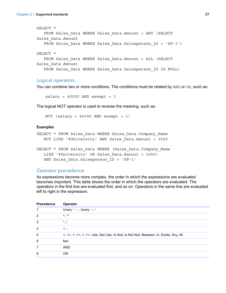```
SELECT *
   FROM Sales Data WHERE Sales Data.Amount = ANY (SELECT
Sales_Data.Amount
   FROM Sales Data WHERE Sales Data.Salesperson ID = 'SP-1')
SELECT *
   FROM Sales Data WHERE Sales Data.Amount = ALL (SELECT
Sales_Data.Amount
   FROM Sales Data WHERE Sales Data.Salesperson ID IS NULL)
```
#### <span id="page-26-3"></span><span id="page-26-0"></span>Logical operators

You can combine two or more conditions. The conditions must be related by AND or OR, such as:

<span id="page-26-6"></span><span id="page-26-4"></span><span id="page-26-2"></span> $salary = 40000$  AND exempt = 1

The logical NOT operator is used to reverse the meaning, such as:

NOT (salary = 40000 AND exempt = 1)

#### Examples

```
SELECT * FROM Sales_Data WHERE Sales_Data.Company_Name
   NOT LIKE '%University' AND Sales_Data.Amount > 3000
SELECT * FROM Sales Data WHERE (Sales Data.Company Name
   LIKE '%University' OR Sales_Data.Amount > 3000)
   AND Sales Data.Salesperson ID = 'SP-1'
```
#### <span id="page-26-5"></span><span id="page-26-1"></span>Operator precedence

As expressions become more complex, the order in which the expressions are evaluated becomes important. This table shows the order in which the operators are evaluated. The operators in the first line are evaluated first, and so on. Operators in the same line are evaluated left to right in the expression.

| <b>Precedence</b> | Operator                                                                                 |
|-------------------|------------------------------------------------------------------------------------------|
|                   | Unary $1 - 1$ , Unary $1 + 1$                                                            |
| $\overline{2}$    | $\Lambda$ **                                                                             |
| 3                 | $^{\star}$ ./                                                                            |
| 4                 | $+$ , $-$                                                                                |
| 5                 | =, <>, <, <=, >, >=, Like, Not Like, Is Null, Is Not Null, Between, In, Exists, Any, All |
| 6                 | <b>Not</b>                                                                               |
| 7                 | <b>AND</b>                                                                               |
| 8                 | 0R                                                                                       |
|                   |                                                                                          |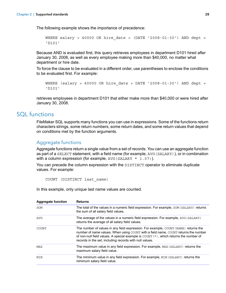The following example shows the importance of precedence:

```
WHERE salary > 40000 OR hire date > (DATE '2008-01-30') AND dept =
'D101'
```
Because AND is evaluated first, this query retrieves employees in department D101 hired after January 30, 2008, as well as every employee making more than \$40,000, no matter what department or hire date.

To force the clause to be evaluated in a different order, use parentheses to enclose the conditions to be evaluated first. For example:

```
WHERE (salary > 40000 OR hire date > DATE '2008-01-30') AND dept =
'D101'
```
retrieves employees in department D101 that either make more than \$40,000 or were hired after January 30, 2008.

# <span id="page-27-0"></span>SOL functions

<span id="page-27-3"></span>FileMaker SQL supports many functions you can use in expressions. Some of the functions return characters strings, some return numbers, some return dates, and some return values that depend on conditions met by the function arguments.

## <span id="page-27-2"></span><span id="page-27-1"></span>Aggregate functions

Aggregate functions return a single value from a set of records. You can use an aggregate function as part of a SELECT statement, with a field name (for example, AVG(SALARY)), or in combination with a column expression (for example, AVG (SALARY  $*$  1.07)).

You can precede the column expression with the DISTINCT operator to eliminate duplicate values. For example:

```
COUNT (DISTINCT last_name)
```
In this example, only unique last name values are counted.

| <b>Aggregate function</b> | <b>Returns</b>                                                                                                                                                                                                                                                                                                                              |
|---------------------------|---------------------------------------------------------------------------------------------------------------------------------------------------------------------------------------------------------------------------------------------------------------------------------------------------------------------------------------------|
| <b>SUM</b>                | The total of the values in a numeric field expression. For example, SUM (SALARY) returns<br>the sum of all salary field values.                                                                                                                                                                                                             |
| <b>AVG</b>                | The average of the values in a numeric field expression. For example, AVG (SALARY)<br>returns the average of all salary field values.                                                                                                                                                                                                       |
| COUNT                     | The number of values in any field expression. For example, COUNT (NAME) returns the<br>number of name values. When using COUNT with a field name, COUNT returns the number<br>of non-null field values. A special example is $\text{COUNT}(\star)$ , which returns the number of<br>records in the set, including records with null values. |
| MAX                       | The maximum value in any field expression. For example, MAX (SALARY) returns the<br>maximum salary field value.                                                                                                                                                                                                                             |
| MIN                       | The minimum value in any field expression. For example, MIN (SALARY) returns the<br>minimum salary field value.                                                                                                                                                                                                                             |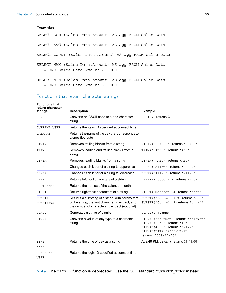#### Examples

SELECT SUM (Sales\_Data.Amount) AS agg FROM Sales\_Data

SELECT AVG (Sales\_Data.Amount) AS agg FROM Sales\_Data

SELECT COUNT (Sales\_Data.Amount) AS agg FROM Sales\_Data

- SELECT MAX (Sales\_Data.Amount) AS agg FROM Sales\_Data WHERE Sales\_Data.Amount < 3000
- SELECT MIN (Sales Data.Amount) AS agg FROM Sales Data WHERE Sales\_Data.Amount > 3000

#### <span id="page-28-0"></span>Functions that return character strings

<span id="page-28-19"></span><span id="page-28-18"></span><span id="page-28-12"></span><span id="page-28-10"></span><span id="page-28-8"></span><span id="page-28-7"></span><span id="page-28-6"></span><span id="page-28-5"></span><span id="page-28-4"></span><span id="page-28-3"></span><span id="page-28-2"></span><span id="page-28-1"></span>

| <b>Functions that</b><br>return character<br>strings | <b>Description</b>                                                                                                                                       | <b>Example</b>                                                                                                                                                   |
|------------------------------------------------------|----------------------------------------------------------------------------------------------------------------------------------------------------------|------------------------------------------------------------------------------------------------------------------------------------------------------------------|
| <b>CHR</b>                                           | Converts an ASCII code to a one-character<br>string                                                                                                      | $CHR (67)$ returns $C$                                                                                                                                           |
| CURRENT USER                                         | Returns the login ID specified at connect time                                                                                                           |                                                                                                                                                                  |
| <b>DAYNAME</b>                                       | Returns the name of the day that corresponds to<br>a specified date                                                                                      |                                                                                                                                                                  |
| <b>RTRIM</b>                                         | Removes trailing blanks from a string                                                                                                                    | RTRIM ('<br>ABC ') returns '<br>ABC'                                                                                                                             |
| TRIM                                                 | Removes leading and trailing blanks from a<br>string                                                                                                     | TRIM (' ABC ') returns 'ABC'                                                                                                                                     |
| LTRIM                                                | Removes leading blanks from a string                                                                                                                     | LTRIM(' ABC') returns 'ABC'                                                                                                                                      |
| <b>UPPER</b>                                         | Changes each letter of a string to uppercase                                                                                                             | UPPER ('Allen') returns 'ALLEN'                                                                                                                                  |
| LOWER                                                | Changes each letter of a string to lowercase                                                                                                             | LOWER ('Allen') returns 'allen'                                                                                                                                  |
| LEFT                                                 | Returns leftmost characters of a string                                                                                                                  | LEFT ('Mattson', 3) returns 'Mat'                                                                                                                                |
| MONTHNAME                                            | Returns the names of the calendar month                                                                                                                  |                                                                                                                                                                  |
| RIGHT                                                | Returns rightmost characters of a string                                                                                                                 | RIGHT ('Mattson', 4) returns 'tson'                                                                                                                              |
| <b>SUBSTR</b><br>SUBSTRING                           | Returns a substring of a string, with parameters<br>of the string, the first character to extract, and<br>the number of characters to extract (optional) | SUBSTR ('Conrad', 2, 3) returns 'onr'<br>SUBSTR ('Conrad', 2) returns 'onrad'                                                                                    |
| SPACE                                                | Generates a string of blanks                                                                                                                             | SPACE(5) returns' '                                                                                                                                              |
| STRVAL                                               | Converts a value of any type to a character<br>string                                                                                                    | STRVAL ('Woltman') returns 'Woltman'<br>$STRVAL$ (5 $*$ 3) returns '15'<br>$STRVAL(4 = 5)$ returns 'False'<br>STRVAL (DATE '2008-12-25')<br>returns '2008-12-25' |
| TIME<br>TIMEVAL                                      | Returns the time of day as a string                                                                                                                      | At 9:49 PM, TIME () returns 21:49:00                                                                                                                             |
| <b>USERNAME</b><br>USER                              | Returns the login ID specified at connect time                                                                                                           |                                                                                                                                                                  |

<span id="page-28-20"></span><span id="page-28-17"></span><span id="page-28-16"></span><span id="page-28-15"></span><span id="page-28-14"></span><span id="page-28-13"></span><span id="page-28-11"></span><span id="page-28-9"></span>Note The TIME() function is deprecated. Use the SQL standard CURRENT TIME instead.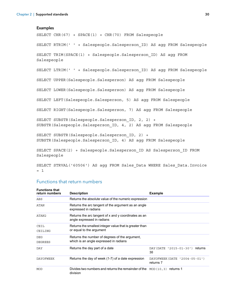#### Examples

SELECT CHR(67) + SPACE(1) + CHR(70) FROM Salespeople SELECT RTRIM(' ' + Salespeople.Salesperson\_ID) AS agg FROM Salespeople SELECT TRIM(SPACE(1) + Salespeople.Salesperson\_ID) AS agg FROM Salespeople SELECT LTRIM(' ' + Salespeople.Salesperson\_ID) AS agg FROM Salespeople SELECT UPPER(Salespeople.Salesperson) AS agg FROM Salespeople SELECT LOWER(Salespeople.Salesperson) AS agg FROM Salespeople SELECT LEFT(Salespeople.Salesperson, 5) AS agg FROM Salespeople SELECT RIGHT(Salespeople.Salesperson, 7) AS agg FROM Salespeople SELECT SUBSTR(Salespeople.Salesperson ID, 2, 2) + SUBSTR(Salespeople.Salesperson\_ID, 4, 2) AS agg FROM Salespeople SELECT SUBSTR(Salespeople.Salesperson\_ID, 2) + SUBSTR(Salespeople.Salesperson\_ID, 4) AS agg FROM Salespeople SELECT SPACE(2) + Salespeople.Salesperson\_ID AS Salesperson\_ID FROM Salespeople

#### SELECT STRVAL('60506') AS agg FROM Sales\_Data WHERE Sales\_Data.Invoice  $= 1$

#### <span id="page-29-0"></span>Functions that return numbers

<span id="page-29-10"></span><span id="page-29-9"></span><span id="page-29-8"></span><span id="page-29-7"></span><span id="page-29-6"></span><span id="page-29-5"></span><span id="page-29-4"></span><span id="page-29-3"></span><span id="page-29-2"></span><span id="page-29-1"></span>

| <b>Functions that</b><br>return numbers | <b>Description</b>                                                                      | <b>Example</b>                             |
|-----------------------------------------|-----------------------------------------------------------------------------------------|--------------------------------------------|
| ABS                                     | Returns the absolute value of the numeric expression                                    |                                            |
| <b>ATAN</b>                             | Returns the arc tangent of the argument as an angle<br>expressed in radians             |                                            |
| ATAN2                                   | Returns the arc tangent of x and y coordinates as an<br>angle expressed in radians      |                                            |
| CEIL                                    | Returns the smallest integer value that is greater than                                 |                                            |
| CEILING                                 | or equal to the argument                                                                |                                            |
| <b>DEG</b>                              | Returns the number of degrees of the argument,                                          |                                            |
| <b>DEGREES</b>                          | which is an angle expressed in radians                                                  |                                            |
| DAY                                     | Returns the day part of a date                                                          | DAY (DATE '2015-01-30')<br>returns<br>30   |
| <b>DAYOFWEEK</b>                        | Returns the day of week (1-7) of a date expression                                      | DAYOFWEEK (DATE '2004-05-01')<br>returns 7 |
| <b>MOD</b>                              | Divides two numbers and returns the remainder of the $MOD(10, 3)$ returns 1<br>division |                                            |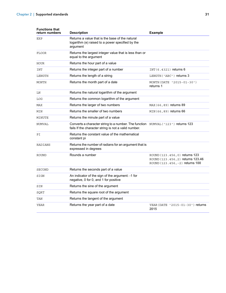<span id="page-30-20"></span><span id="page-30-19"></span><span id="page-30-18"></span><span id="page-30-17"></span><span id="page-30-16"></span><span id="page-30-15"></span><span id="page-30-14"></span><span id="page-30-13"></span><span id="page-30-12"></span><span id="page-30-11"></span><span id="page-30-10"></span><span id="page-30-9"></span><span id="page-30-8"></span><span id="page-30-7"></span><span id="page-30-6"></span><span id="page-30-5"></span><span id="page-30-4"></span><span id="page-30-3"></span><span id="page-30-2"></span><span id="page-30-1"></span><span id="page-30-0"></span>

| <b>Functions that</b><br>return numbers | <b>Description</b>                                                                                                                       | <b>Example</b>                                                                                         |
|-----------------------------------------|------------------------------------------------------------------------------------------------------------------------------------------|--------------------------------------------------------------------------------------------------------|
| <b>EXP</b>                              | Returns a value that is the base of the natural<br>logarithm (e) raised to a power specified by the<br>argument                          |                                                                                                        |
| <b>FLOOR</b>                            | Returns the largest integer value that is less than or<br>equal to the argument                                                          |                                                                                                        |
| HOUR                                    | Returns the hour part of a value                                                                                                         |                                                                                                        |
| <b>INT</b>                              | Returns the integer part of a number                                                                                                     | INT (6.4321) returns 6                                                                                 |
| LENGTH                                  | Returns the length of a string                                                                                                           | LENGTH ('ABC') returns 3                                                                               |
| MONTH                                   | Returns the month part of a date                                                                                                         | MONTH (DATE '2015-01-30')<br>returns 1                                                                 |
| LN                                      | Returns the natural logarithm of the argument                                                                                            |                                                                                                        |
| LOG                                     | Returns the common logarithm of the argument                                                                                             |                                                                                                        |
| MAX                                     | Returns the larger of two numbers                                                                                                        | MAX (66, 89) returns 89                                                                                |
| MIN                                     | Returns the smaller of two numbers                                                                                                       | MIN (66,89) returns 66                                                                                 |
| MINUTE                                  | Returns the minute part of a value                                                                                                       |                                                                                                        |
| NUMVAL                                  | Converts a character string to a number. The function NUMVAL ('123') returns 123<br>fails If the character string is not a valid number. |                                                                                                        |
| PI                                      | Returns the constant value of the mathematical<br>constant pi                                                                            |                                                                                                        |
| RADIANS                                 | Returns the number of radians for an argument that is<br>expressed in degrees                                                            |                                                                                                        |
| <b>ROUND</b>                            | Rounds a number                                                                                                                          | ROUND (123.456, 0) returns 123<br>ROUND (123.456, 2) returns 123.46<br>ROUND (123.456, -2) returns 100 |
| <b>SECOND</b>                           | Returns the seconds part of a value                                                                                                      |                                                                                                        |
| SIGN                                    | An indicator of the sign of the argument: -1 for<br>negative, 0 for 0, and 1 for positive                                                |                                                                                                        |
| SIN                                     | Returns the sine of the argument                                                                                                         |                                                                                                        |
| SQRT                                    | Returns the square root of the argument                                                                                                  |                                                                                                        |
| TAN                                     | Returns the tangent of the argument                                                                                                      |                                                                                                        |
| YEAR                                    | Returns the year part of a date                                                                                                          | YEAR (DATE '2015-01-30') returns<br>2015                                                               |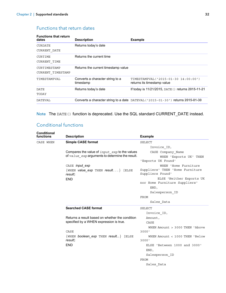# <span id="page-31-0"></span>Functions that return dates

<span id="page-31-8"></span><span id="page-31-7"></span><span id="page-31-6"></span><span id="page-31-5"></span><span id="page-31-4"></span><span id="page-31-3"></span>

| <b>Functions that return</b><br>dates | <b>Description</b>                            | <b>Example</b>                                                                  |
|---------------------------------------|-----------------------------------------------|---------------------------------------------------------------------------------|
| <b>CURDATE</b><br>CURRENT DATE        | Returns today's date                          |                                                                                 |
| CURTIME<br>CURRENT TIME               | Returns the current time                      |                                                                                 |
| CURTIMESTAMP<br>CURRENT TIMESTAMP     | Returns the current timestamp value           |                                                                                 |
| TIMESTAMPVAL                          | Converts a character string to a<br>timestamp | TIMESTAMPVAL ('2015-01-30 14:00:00')<br>returns its timestamp value             |
| <b>DATE</b><br>TODAY                  | Returns today's date                          | If today is 11/21/2015, DATE () returns 2015-11-21                              |
| <b>DATEVAL</b>                        |                                               | Converts a character string to a date DATEVAL ('2015-01-30') returns 2015-01-30 |

<span id="page-31-12"></span><span id="page-31-11"></span><span id="page-31-10"></span><span id="page-31-9"></span>Note The DATE() function is deprecated. Use the SQL standard CURRENT\_DATE instead.

# <span id="page-31-1"></span>Conditional functions

<span id="page-31-2"></span>

| <b>Conditional</b><br><b>functions</b> | <b>Description</b>                                                                                   | <b>Example</b>                                            |
|----------------------------------------|------------------------------------------------------------------------------------------------------|-----------------------------------------------------------|
| CASE WHEN                              | <b>Simple CASE format</b>                                                                            | <b>SELECT</b>                                             |
|                                        |                                                                                                      | Invoice ID,                                               |
|                                        | Compares the value of $input$ $exp$ to the values<br>of value exp arguments to determine the result. | CASE Company Name<br>WHEN 'Exports UK' THEN               |
|                                        |                                                                                                      | 'Exports UK Found'                                        |
|                                        | CASE <i>input</i> exp                                                                                | WHEN 'Home Furniture                                      |
|                                        | $\{WHEN$ value exp THEN result $\}$ [ELSE]<br>result1                                                | Suppliers' THEN 'Home Furniture<br>Suppliers Found'       |
|                                        | <b>END</b>                                                                                           | ELSE 'Neither Exports UK<br>nor Home Furniture Suppliers' |
|                                        |                                                                                                      | END,                                                      |
|                                        |                                                                                                      | Salesperson ID                                            |
|                                        |                                                                                                      | <b>FROM</b>                                               |
|                                        |                                                                                                      | Sales Data                                                |
|                                        | <b>Searched CASE format</b>                                                                          | <b>SELECT</b>                                             |
|                                        |                                                                                                      | Invoice ID,                                               |
|                                        | Returns a result based on whether the condition                                                      | Amount,                                                   |
|                                        | specified by a WHEN expression is true.                                                              | CASE                                                      |
|                                        | CASE                                                                                                 | WHEN Amount > 3000 THEN 'Above<br>3000'                   |
|                                        | $\{$ WHEN boolean exp THEN result $\}$ [ELSE<br>result]                                              | WHEN Amount < 1000 THEN 'Below<br>3000'                   |
|                                        | <b>END</b>                                                                                           | ELSE 'Between 1000 and 3000'<br>END,                      |
|                                        |                                                                                                      | Salesperson ID                                            |
|                                        |                                                                                                      | FROM                                                      |
|                                        |                                                                                                      | Sales Data                                                |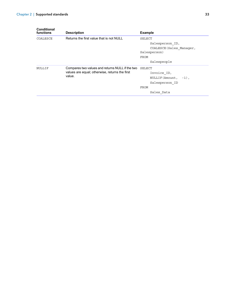<span id="page-32-1"></span><span id="page-32-0"></span>

| Conditional<br>functions | <b>Description</b>                                                                                          | <b>Example</b>                                                                                      |
|--------------------------|-------------------------------------------------------------------------------------------------------------|-----------------------------------------------------------------------------------------------------|
| COALESCE                 | Returns the first value that is not NULL                                                                    | SELECT<br>Salesperson ID,<br>COALESCE (Sales Manager,<br>Salesperson)<br><b>FROM</b><br>Salespeople |
| NULLIF                   | Compares two values and returns NULL if the two<br>values are equal; otherwise, returns the first<br>value. | SELECT<br>Invoice ID,<br>NULLIF (Amount,<br>$-1)$ .<br>Salesperson ID<br><b>FROM</b><br>Sales Data  |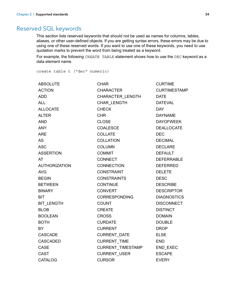# <span id="page-33-0"></span>Reserved SQL keywords

<span id="page-33-2"></span><span id="page-33-1"></span>This section lists reserved keywords that should not be used as names for columns, tables, aliases, or other user-defined objects. If you are getting syntax errors, these errors may be due to using one of these reserved words. If you want to use one of these keywords, you need to use quotation marks to prevent the word from being treated as a keyword.

For example, the following CREATE TABLE statement shows how to use the DEC keyword as a data element name.

create table t ("dec" numeric)

| <b>ABSOLUTE</b>      | <b>CHAR</b>          | <b>CURTIME</b>      |
|----------------------|----------------------|---------------------|
| <b>ACTION</b>        | <b>CHARACTER</b>     | <b>CURTIMESTAMP</b> |
| <b>ADD</b>           | CHARACTER_LENGTH     | <b>DATE</b>         |
| <b>ALL</b>           | <b>CHAR LENGTH</b>   | <b>DATEVAL</b>      |
| <b>ALLOCATE</b>      | <b>CHECK</b>         | <b>DAY</b>          |
| <b>ALTER</b>         | <b>CHR</b>           | <b>DAYNAME</b>      |
| <b>AND</b>           | <b>CLOSE</b>         | <b>DAYOFWEEK</b>    |
| <b>ANY</b>           | <b>COALESCE</b>      | <b>DEALLOCATE</b>   |
| <b>ARE</b>           | <b>COLLATE</b>       | <b>DEC</b>          |
| <b>AS</b>            | <b>COLLATION</b>     | <b>DECIMAL</b>      |
| <b>ASC</b>           | <b>COLUMN</b>        | <b>DECLARE</b>      |
| <b>ASSERTION</b>     | <b>COMMIT</b>        | <b>DEFAULT</b>      |
| AT                   | <b>CONNECT</b>       | <b>DEFERRABLE</b>   |
| <b>AUTHORIZATION</b> | <b>CONNECTION</b>    | <b>DEFERRED</b>     |
| <b>AVG</b>           | <b>CONSTRAINT</b>    | <b>DELETE</b>       |
| <b>BEGIN</b>         | <b>CONSTRAINTS</b>   | <b>DESC</b>         |
| <b>BETWEEN</b>       | <b>CONTINUE</b>      | <b>DESCRIBE</b>     |
| <b>BINARY</b>        | <b>CONVERT</b>       | <b>DESCRIPTOR</b>   |
| <b>BIT</b>           | <b>CORRESPONDING</b> | <b>DIAGNOSTICS</b>  |
| BIT_LENGTH           | <b>COUNT</b>         | <b>DISCONNECT</b>   |
| <b>BLOB</b>          | <b>CREATE</b>        | <b>DISTINCT</b>     |
| <b>BOOLEAN</b>       | <b>CROSS</b>         | <b>DOMAIN</b>       |
| <b>BOTH</b>          | <b>CURDATE</b>       | <b>DOUBLE</b>       |
| BY.                  | <b>CURRENT</b>       | <b>DROP</b>         |
| <b>CASCADE</b>       | CURRENT_DATE         | <b>ELSE</b>         |
| <b>CASCADED</b>      | CURRENT_TIME         | <b>END</b>          |
| <b>CASE</b>          | CURRENT_TIMESTAMP    | END_EXEC            |
| <b>CAST</b>          | <b>CURRENT USER</b>  | <b>ESCAPE</b>       |
| <b>CATALOG</b>       | <b>CURSOR</b>        | <b>EVERY</b>        |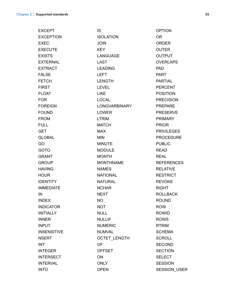| <b>EXCEPT</b>      | <b>IS</b>            | <b>OPTION</b>       |
|--------------------|----------------------|---------------------|
| <b>EXCEPTION</b>   | <b>ISOLATION</b>     | <b>OR</b>           |
| <b>EXEC</b>        | <b>JOIN</b>          | <b>ORDER</b>        |
| <b>EXECUTE</b>     | <b>KEY</b>           | <b>OUTER</b>        |
| <b>EXISTS</b>      | <b>LANGUAGE</b>      | <b>OUTPUT</b>       |
| <b>EXTERNAL</b>    | <b>LAST</b>          | <b>OVERLAPS</b>     |
| <b>EXTRACT</b>     | <b>LEADING</b>       | <b>PAD</b>          |
| <b>FALSE</b>       | <b>LEFT</b>          | <b>PART</b>         |
| <b>FETCH</b>       | <b>LENGTH</b>        | <b>PARTIAL</b>      |
| <b>FIRST</b>       | <b>LEVEL</b>         | <b>PERCENT</b>      |
| <b>FLOAT</b>       | <b>LIKE</b>          | <b>POSITION</b>     |
| <b>FOR</b>         | <b>LOCAL</b>         | <b>PRECISION</b>    |
| <b>FOREIGN</b>     | <b>LONGVARBINARY</b> | <b>PREPARE</b>      |
| <b>FOUND</b>       | <b>LOWER</b>         | <b>PRESERVE</b>     |
| <b>FROM</b>        | <b>LTRIM</b>         | <b>PRIMARY</b>      |
| <b>FULL</b>        | <b>MATCH</b>         | <b>PRIOR</b>        |
| <b>GET</b>         | <b>MAX</b>           | <b>PRIVILEGES</b>   |
| <b>GLOBAL</b>      | <b>MIN</b>           | <b>PROCEDURE</b>    |
| GO                 | <b>MINUTE</b>        | <b>PUBLIC</b>       |
| <b>GOTO</b>        | <b>MODULE</b>        | <b>READ</b>         |
| <b>GRANT</b>       | <b>MONTH</b>         | <b>REAL</b>         |
| <b>GROUP</b>       | <b>MONTHNAME</b>     | <b>REFERENCES</b>   |
| <b>HAVING</b>      | <b>NAMES</b>         | <b>RELATIVE</b>     |
| <b>HOUR</b>        | <b>NATIONAL</b>      | <b>RESTRICT</b>     |
| <b>IDENTITY</b>    | <b>NATURAL</b>       | <b>REVOKE</b>       |
| <b>IMMEDIATE</b>   | <b>NCHAR</b>         | <b>RIGHT</b>        |
| IN                 | NEXT                 | <b>ROLLBACK</b>     |
| <b>INDEX</b>       | <b>NO</b>            | <b>ROUND</b>        |
| <b>INDICATOR</b>   | <b>NOT</b>           | <b>ROW</b>          |
| <b>INITIALLY</b>   | <b>NULL</b>          | <b>ROWID</b>        |
| <b>INNER</b>       | <b>NULLIF</b>        | <b>ROWS</b>         |
| <b>INPUT</b>       | <b>NUMERIC</b>       | <b>RTRIM</b>        |
| <b>INSENSITIVE</b> | <b>NUMVAL</b>        | <b>SCHEMA</b>       |
| <b>NSERT</b>       | <b>OCTET LENGTH</b>  | <b>SCROLL</b>       |
| <b>INT</b>         | OF                   | <b>SECOND</b>       |
| <b>INTEGER</b>     | <b>OFFSET</b>        | <b>SECTION</b>      |
| <b>INTERSECT</b>   | ON                   | <b>SELECT</b>       |
| <b>INTERVAL</b>    | <b>ONLY</b>          | <b>SESSION</b>      |
| <b>INTO</b>        | <b>OPEN</b>          | <b>SESSION_USER</b> |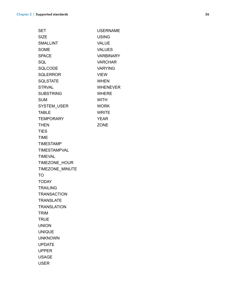| <b>SET</b>          | <b>USERNAME</b>  |
|---------------------|------------------|
| <b>SIZE</b>         | <b>USING</b>     |
| <b>SMALLINT</b>     | <b>VALUE</b>     |
| <b>SOME</b>         | <b>VALUES</b>    |
| <b>SPACE</b>        | <b>VARBINARY</b> |
| SQL                 | <b>VARCHAR</b>   |
| <b>SQLCODE</b>      | <b>VARYING</b>   |
| <b>SQLERROR</b>     | <b>VIEW</b>      |
| <b>SQLSTATE</b>     | <b>WHEN</b>      |
| <b>STRVAL</b>       | <b>WHENEVER</b>  |
| <b>SUBSTRING</b>    | <b>WHERE</b>     |
| <b>SUM</b>          | <b>WITH</b>      |
| SYSTEM_USER         | <b>WORK</b>      |
| <b>TABLE</b>        | <b>WRITE</b>     |
| <b>TEMPORARY</b>    | <b>YEAR</b>      |
| <b>THEN</b>         | <b>ZONE</b>      |
| <b>TIES</b>         |                  |
| <b>TIME</b>         |                  |
| <b>TIMESTAMP</b>    |                  |
| <b>TIMESTAMPVAL</b> |                  |
| <b>TIMEVAL</b>      |                  |
| TIMEZONE_HOUR       |                  |
| TIMEZONE_MINUTE     |                  |
| TO                  |                  |
| <b>TODAY</b>        |                  |
| <b>TRAILING</b>     |                  |
| <b>TRANSACTION</b>  |                  |
| <b>TRANSLATE</b>    |                  |
| <b>TRANSLATION</b>  |                  |
| <b>TRIM</b>         |                  |
| <b>TRUE</b>         |                  |
| <b>UNION</b>        |                  |
| <b>UNIQUE</b>       |                  |
| <b>UNKNOWN</b>      |                  |
| <b>UPDATE</b>       |                  |
| <b>UPPER</b>        |                  |
| <b>USAGE</b>        |                  |
| <b>USER</b>         |                  |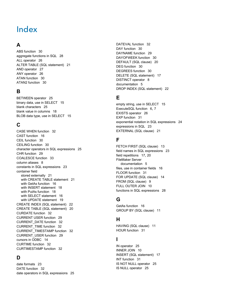# <span id="page-36-0"></span>Index

# **A**

[ABS function 30](#page-29-1) [aggregate functions in SQL 28](#page-27-2) [ALL operator 26](#page-25-0) [ALTER TABLE \(SQL statement\) 21](#page-20-1) [AND operator 27](#page-26-2) [ANY operator 26](#page-25-1) [ATAN function 30](#page-29-2) [ATAN2 function 30](#page-29-3)

# **B**

[BETWEEN operator 25](#page-24-3) [binary data, use in SELECT 15](#page-14-0) [blank characters 25](#page-24-4) [blank value in columns 18](#page-17-0) [BLOB data type, use in SELECT 15](#page-14-1)

# **C**

[CASE WHEN function 32](#page-31-2) [CAST function 16](#page-15-1) [CEIL function 30](#page-29-4) [CEILING function 30](#page-29-5) [character operators in SQL expressions 25](#page-24-5) [CHR function 29](#page-28-1) [COALESCE function 33](#page-32-0) [column aliases 8](#page-7-2) [constants in SQL expressions 23](#page-22-3) container field [stored externally 21](#page-20-2) [with CREATE TABLE statement 21](#page-20-3) [with GetAs function 16](#page-15-2) [with INSERT statement 18](#page-17-1) [with PutAs function 18](#page-17-2) [with SELECT statement 16](#page-15-3) [with UPDATE statement 19](#page-18-1) [CREATE INDEX \(SQL statement\) 22](#page-21-2) [CREATE TABLE \(SQL statement\) 20](#page-19-1) [CURDATE function 32](#page-31-3) [CURRENT USER function 29](#page-28-2) [CURRENT\\_DATE function 32](#page-31-4) [CURRENT\\_TIME function 32](#page-31-5) [CURRENT\\_TIMESTAMP function 32](#page-31-6) [CURRENT\\_USER function 29](#page-28-3) [cursors in ODBC 14](#page-13-1) [CURTIME function 32](#page-31-7) [CURTIMESTAMP function 32](#page-31-8)

# **D**

[date formats 23](#page-22-4) [DATE function 32](#page-31-9) [date operators in SQL expressions 25](#page-24-6) [DATEVAL function 32](#page-31-10) [DAY function 30](#page-29-6) [DAYNAME function 29](#page-28-4) [DAYOFWEEK function 30](#page-29-7) [DEFAULT \(SQL clause\) 20](#page-19-2) [DEG function 30](#page-29-8) [DEGREES function 30](#page-29-9) [DELETE \(SQL statement\) 17](#page-16-2) [DISTINCT operator 8](#page-7-3) [documentation 5](#page-4-4) [DROP INDEX \(SQL statement\) 22](#page-21-3)

# **E**

[empty string, use in SELECT 15](#page-14-2) [ExecuteSQL function 6,](#page-5-2) [7](#page-6-4) [EXISTS operator 26](#page-25-2) [EXP function 31](#page-30-0) [exponential notation in SQL expressions 24](#page-23-2) [expressions in SQL 23](#page-22-5) [EXTERNAL \(SQL clause\) 21](#page-20-2)

# **F**

[FETCH FIRST \(SQL clause\) 13](#page-12-1) [field names in SQL expressions 23](#page-22-6) [field repetitions 17,](#page-16-3) [20](#page-19-3) FileMaker Server [documentation 5](#page-4-4) [files, use in container fields 16](#page-15-2) [FLOOR function 31](#page-30-1) [FOR UPDATE \(SQL clause\) 14](#page-13-2) [FROM \(SQL clause\) 9](#page-8-2) [FULL OUTER JOIN 10](#page-9-1) [functions in SQL expressions 28](#page-27-3)

# **G**

[GetAs function 16](#page-15-4) [GROUP BY \(SQL clause\) 11](#page-10-2)

# **H**

[HAVING \(SQL clause\) 11](#page-10-3) [HOUR function 31](#page-30-2)

# **I**

[IN operator 25](#page-24-7) [INNER JOIN 10](#page-9-2) [INSERT \(SQL statement\) 17](#page-16-4) [INT function 31](#page-30-3) [IS NOT NULL operator 25](#page-24-8) [IS NULL operator 25](#page-24-9)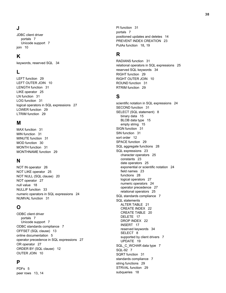# **J**

JDBC client driver [portals 7](#page-6-5) [Unicode support 7](#page-6-6) [join 10](#page-9-2)

# **K**

[keywords, reserved SQL 34](#page-33-1)

# **L**

[LEFT function 29](#page-28-5) [LEFT OUTER JOIN 10](#page-9-3) [LENGTH function 31](#page-30-4) [LIKE operator 25](#page-24-10) [LN function 31](#page-30-5) [LOG function 31](#page-30-6) [logical operators in SQL expressions 27](#page-26-3) [LOWER function 29](#page-28-6) [LTRIM function 29](#page-28-7)

## **M**

[MAX function 31](#page-30-7) [MIN function 31](#page-30-8) [MINUTE function 31](#page-30-9) [MOD function 30](#page-29-10) [MONTH function 31](#page-30-10) [MONTHNAME function 29](#page-28-8)

# **N**

[NOT IN operator 26](#page-25-3) [NOT LIKE operator 25](#page-24-11) [NOT NULL \(SQL clause\) 20](#page-19-4) [NOT operator 27](#page-26-4) [null value 18](#page-17-0) [NULLIF function 33](#page-32-1) [numeric operators in SQL expressions 24](#page-23-3) [NUMVAL function 31](#page-30-11)

# **O**

ODBC client driver [portals 7](#page-6-5) [Unicode support 7](#page-6-6) [ODBC standards compliance 7](#page-6-7) [OFFSET \(SQL clause\) 13](#page-12-2) [online documentation 5](#page-4-4) [operator precedence in SQL expressions 27](#page-26-5) [OR operator 27](#page-26-6) [ORDER BY \(SQL clause\) 12](#page-11-2) [OUTER JOIN 10](#page-9-1)

# **P**

[PDFs 5](#page-4-4) [peer rows 13,](#page-12-3) [14](#page-13-3) [PI function 31](#page-30-12) [portals 7](#page-6-5) [positioned updates and deletes 14](#page-13-1) [PREVENT INDEX CREATION 23](#page-22-7) [PutAs function 18](#page-17-2), [19](#page-18-2)

# **R**

[RADIANS function 31](#page-30-13) [relational operators in SQL expressions 25](#page-24-12) [reserved SQL keywords 34](#page-33-1) [RIGHT function 29](#page-28-9) [RIGHT OUTER JOIN 10](#page-9-4) [ROUND function 31](#page-30-14) [RTRIM function 29](#page-28-10)

# **S**

[scientific notation in SQL expressions 24](#page-23-2) [SECOND function 31](#page-30-15) [SELECT \(SQL statement\) 8](#page-7-4) [binary data 15](#page-14-0) [BLOB data type 15](#page-14-1) [empty string 15](#page-14-2) [SIGN function 31](#page-30-16) [SIN function 31](#page-30-17) [sort order 12](#page-11-3) [SPACE function 29](#page-28-11) [SQL aggregate functions 28](#page-27-2) [SQL expressions 23](#page-22-5) [character operators 25](#page-24-5) [constants 23](#page-22-3) [date operators 25](#page-24-6) [exponential or scientific notation 24](#page-23-2) [field names 23](#page-22-6) [functions 28](#page-27-3) [logical operators 27](#page-26-3) [numeric operators 24](#page-23-3) [operator precedence 27](#page-26-5) [relational operators 25](#page-24-12) [SQL standards compliance 7](#page-6-8) SQL statements [ALTER TABLE 21](#page-20-1) [CREATE INDEX 22](#page-21-2) [CREATE TABLE 20](#page-19-1) [DELETE 17](#page-16-2) [DROP INDEX 22](#page-21-3) [INSERT 17](#page-16-4) [reserved keywords 34](#page-33-1) [SELECT 8](#page-7-4) [supported by client drivers 7](#page-6-9) [UPDATE 19](#page-18-3) SQL C WCHAR data type 7 [SQL-92 7](#page-6-8) [SQRT function 31](#page-30-18) [standards compliance 7](#page-6-8) [string functions 29](#page-28-12) [STRVAL function 29](#page-28-13) [subqueries 18](#page-17-3)